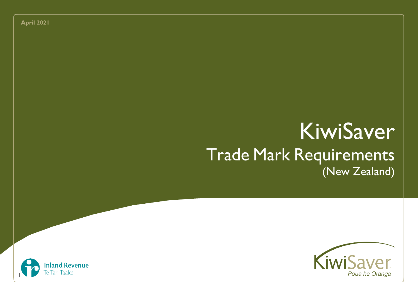**April 2021**

# KiwiSaver Trade Mark Requirements (New Zealand)



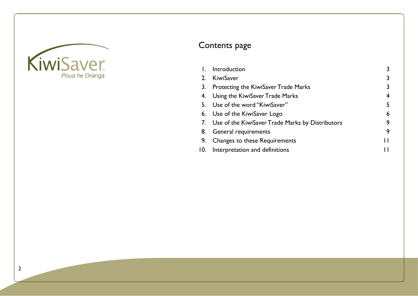

# Contents page

|    | Introduction                                        |   |
|----|-----------------------------------------------------|---|
|    | 2. KiwiSaver                                        | 3 |
| 3. | <b>Protecting the KiwiSaver Trade Marks</b>         | 3 |
|    | 4. Using the KiwiSaver Trade Marks                  | 4 |
|    | 5. Use of the word "KiwiSaver"                      | 5 |
|    | 6. Use of the KiwiSaver Logo                        | 6 |
|    | 7. Use of the KiwiSaver Trade Marks by Distributors | 9 |
|    | 8. General requirements                             | 9 |
| 9. | Changes to these Requirements                       |   |
|    | 10. Interpretation and definitions                  |   |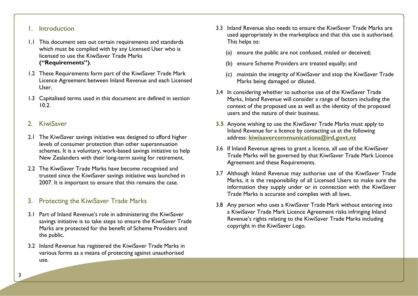# 1. Introduction

- <span id="page-2-0"></span>1.1 This document sets out certain requirements and standards which must be complied with by any Licensed User who is licensed to use the KiwiSaver Trade Marks **("Requirements")**.
- 1.2 These Requirements form part of the KiwiSaver Trade Mark Licence Agreement between Inland Revenue and each Licensed User.
- 1.3 Capitalised terms used in this document are defined in section 10.2.

# <span id="page-2-1"></span>2. KiwiSaver

- 2.1 The KiwiSaver savings initiative was designed to afford higher levels of consumer protection than other superannuation schemes. It is a voluntary, work-based savings initiative to help New Zealanders with their long-term saving for retirement.
- 2.2 The KiwiSaver Trade Marks have become recognised and trusted since the KiwiSaver savings initiative was launched in 2007. It is important to ensure that this remains the case.

# <span id="page-2-2"></span>3. Protecting the KiwiSaver Trade Marks

- 3.1 Part of Inland Revenue's role in administering the KiwiSaver savings initiative is to take steps to ensure the KiwiSaver Trade Marks are protected for the benefit of Scheme Providers and the public.
- 3.2 Inland Revenue has registered the KiwiSaver Trade Marks in various forms as a means of protecting against unauthorised use.
- 3.3 Inland Revenue also needs to ensure the KiwiSaver Trade Marks are used appropriately in the marketplace and that this use is authorised. This helps to:
	- (a) ensure the public are not confused, misled or deceived;
	- (b) ensure Scheme Providers are treated equally; and
	- (c) maintain the integrity of KiwiSaver and stop the KiwiSaver Trade Marks being damaged or diluted.
- 3.4 In considering whether to authorise use of the KiwiSaver Trade Marks, Inland Revenue will consider a range of factors including the context of the proposed use as well as the identity of the proposed users and the nature of their business.
- **3.5** Anyone wishing to use the KiwiSaver Trade Marks must apply to Inland Revenue for a licence by contacting us at the following address: **[kiwisavercommunications@ird.govt.nz](mailto:kiwisavercommunications@ird.govt.nz)**
- 3.6 If Inland Revenue agrees to grant a licence, all use of the KiwiSaver Trade Marks will be governed by that KiwiSaver Trade Mark Licence Agreement and these Requirements.
- 3.7 Although Inland Revenue may authorise use of the KiwiSaver Trade Marks, it is the responsibility of all Licensed Users to make sure the information they supply under or in connection with the KiwiSaver Trade Marks is accurate and complies with all laws.
- 3.8 Any person who uses a KiwiSaver Trade Mark without entering into a KiwiSaver Trade Mark Licence Agreement risks infringing Inland Revenue's rights relating to the KiwiSaver Trade Marks including copyright in the KiwiSaver Logo.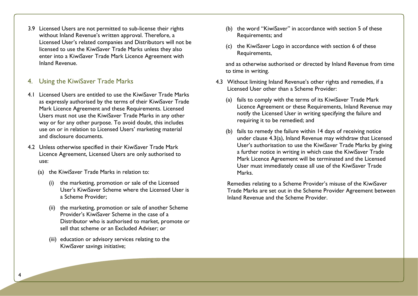3.9 Licensed Users are not permitted to sub-license their rights without Inland Revenue's written approval. Therefore, a Licensed User's related companies and Distributors will not be licensed to use the KiwiSaver Trade Marks unless they also enter into a KiwiSaver Trade Mark Licence Agreement with Inland Revenue.

# <span id="page-3-0"></span>4. Using the KiwiSaver Trade Marks

- 4.1 Licensed Users are entitled to use the KiwiSaver Trade Marks as expressly authorised by the terms of their KiwiSaver Trade Mark Licence Agreement and these Requirements. Licensed Users must not use the KiwiSaver Trade Marks in any other way or for any other purpose. To avoid doubt, this includes use on or in relation to Licensed Users' marketing material and disclosure documents.
- 4.2 Unless otherwise specified in their KiwiSaver Trade Mark Licence Agreement, Licensed Users are only authorised to use:
	- (a) the KiwiSaver Trade Marks in relation to:
		- (i) the marketing, promotion or sale of the Licensed User's KiwiSaver Scheme where the Licensed User is a Scheme Provider;
		- (ii) the marketing, promotion or sale of another Scheme Provider's KiwiSaver Scheme in the case of a Distributor who is authorised to market, promote or sell that scheme or an Excluded Adviser; or
		- (iii) education or advisory services relating to the KiwiSaver savings initiative;
- (b) the word "KiwiSaver" in accordance with section 5 of these Requirements; and
- (c) the KiwiSaver Logo in accordance with section 6 of these Requirements,

and as otherwise authorised or directed by Inland Revenue from time to time in writing.

- 4.3 Without limiting Inland Revenue's other rights and remedies, if a Licensed User other than a Scheme Provider:
	- (a) fails to comply with the terms of its KiwiSaver Trade Mark Licence Agreement or these Requirements, Inland Revenue may notify the Licensed User in writing specifying the failure and requiring it to be remedied; and
	- (b) fails to remedy the failure within 14 days of receiving notice under clause 4.3(a), Inland Revenue may withdraw that Licensed User's authorisation to use the KiwiSaver Trade Marks by giving a further notice in writing in which case the KiwiSaver Trade Mark Licence Agreement will be terminated and the Licensed User must immediately cease all use of the KiwiSaver Trade Marks.

Remedies relating to a Scheme Provider's misuse of the KiwiSaver Trade Marks are set out in the Scheme Provider Agreement between Inland Revenue and the Scheme Provider.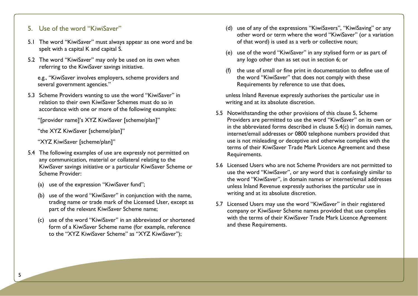# <span id="page-4-0"></span>5. Use of the word "KiwiSaver"

- 5.1 The word "KiwiSaver" must always appear as one word and be spelt with a capital K and capital S.
- 5.2 The word "KiwiSaver" may only be used on its own when referring to the KiwiSaver savings initiative.

e.g., "KiwiSaver involves employers, scheme providers and several government agencies."

- 5.3 Scheme Providers wanting to use the word "KiwiSaver" in relation to their own KiwiSaver Schemes must do so in accordance with one or more of the following examples:
	- "[provider name]'s XYZ KiwiSaver [scheme/plan]"
	- "the XYZ KiwiSaver [scheme/plan]"

"XYZ KiwiSaver [scheme/plan]"

- 5.4 The following examples of use are expressly not permitted on any communication, material or collateral relating to the KiwiSaver savings initiative or a particular KiwiSaver Scheme or Scheme Provider:
	- (a) use of the expression "KiwiSaver fund";
	- (b) use of the word "KiwiSaver" in conjunction with the name, trading name or trade mark of the Licensed User, except as part of the relevant KiwiSaver Scheme name;
	- (c) use of the word "KiwiSaver" in an abbreviated or shortened form of a KiwiSaver Scheme name (for example, reference to the "XYZ KiwiSaver Scheme" as "XYZ KiwiSaver");
- (d) use of any of the expressions "KiwiSavers", "KiwiSaving" or any other word or term where the word "KiwiSaver" (or a variation of that word) is used as a verb or collective noun;
- (e) use of the word "KiwiSaver" in any stylised form or as part of any logo other than as set out in section 6; or
- (f) the use of small or fine print in documentation to define use of the word "KiwiSaver" that does not comply with these Requirements by reference to use that does,

unless Inland Revenue expressly authorises the particular use in writing and at its absolute discretion.

- 5.5 Notwithstanding the other provisions of this clause 5, Scheme Providers are permitted to use the word "KiwiSaver" on its own or in the abbreviated forms described in clause 5.4(c) in domain names, internet/email addresses or 0800 telephone numbers provided that use is not misleading or deceptive and otherwise complies with the terms of their KiwiSaver Trade Mark Licence Agreement and these Requirements.
- 5.6 Licensed Users who are not Scheme Providers are not permitted to use the word "KiwiSaver", or any word that is confusingly similar to the word "KiwiSaver", in domain names or internet/email addresses unless Inland Revenue expressly authorises the particular use in writing and at its absolute discretion.
- 5.7 Licensed Users may use the word "KiwiSaver" in their registered company or KiwiSaver Scheme names provided that use complies with the terms of their KiwiSaver Trade Mark Licence Agreement and these Requirements.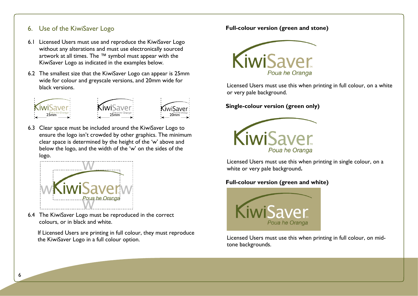# <span id="page-5-0"></span>6. Use of the KiwiSaver Logo

- 6.1 Licensed Users must use and reproduce the KiwiSaver Logo without any alterations and must use electronically sourced artwork at all times. The ™ symbol must appear with the KiwiSaver Logo as indicated in the examples below.
- 6.2 The smallest size that the KiwiSaver Logo can appear is 25mm wide for colour and greyscale versions, and 20mm wide for black versions.



6.3 Clear space must be included around the KiwiSaver Logo to ensure the logo isn't crowded by other graphics. The minimum clear space is determined by the height of the 'w' above and below the logo, and the width of the 'w' on the sides of the logo.



6.4 The KiwiSaver Logo must be reproduced in the correct colours, or in black and white.

If Licensed Users are printing in full colour, they must reproduce the KiwiSaver Logo in a full colour option.

#### **Full-colour version (green and stone)**



Licensed Users must use this when printing in full colour, on a white or very pale background.

**Single-colour version (green only)**



Licensed Users must use this when printing in single colour, on a white or very pale background**.**

### **Full-colour version (green and white)**



Licensed Users must use this when printing in full colour, on midtone backgrounds.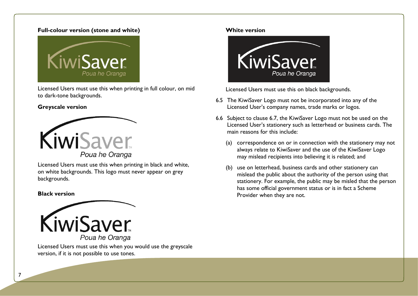#### **Full-colour version (stone and white)**



Licensed Users must use this when printing in full colour, on mid to dark-tone backgrounds.

#### **Greyscale version**



Licensed Users must use this when printing in black and white, on white backgrounds. This logo must never appear on grey backgrounds.

#### **Black version**



Licensed Users must use this when you would use the greyscale version, if it is not possible to use tones.

#### **White version**



Licensed Users must use this on black backgrounds.

- 6.5 The KiwiSaver Logo must not be incorporated into any of the Licensed User's company names, trade marks or logos.
- 6.6 Subject to clause 6.7, the KiwiSaver Logo must not be used on the Licensed User's stationery such as letterhead or business cards. The main reasons for this include:
	- (a) correspondence on or in connection with the stationery may not always relate to KiwiSaver and the use of the KiwiSaver Logo may mislead recipients into believing it is related; and
	- (b) use on letterhead, business cards and other stationery can mislead the public about the authority of the person using that stationery. For example, the public may be misled that the person has some official government status or is in fact a Scheme Provider when they are not.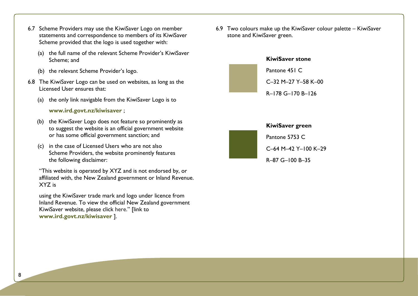- 6.7 Scheme Providers may use the KiwiSaver Logo on member statements and correspondence to members of its KiwiSaver Scheme provided that the logo is used together with:
	- (a) the full name of the relevant Scheme Provider's KiwiSaver Scheme; and
	- (b) the relevant Scheme Provider's logo.
- 6.8 The KiwiSaver Logo can be used on websites, as long as the Licensed User ensures that:
	- (a) the only link navigable from the KiwiSaver Logo is to

#### **[www.ird.govt.nz/kiwisaver](http://www.ird.govt.nz/kiwisaver)** ;

- (b) the KiwiSaver Logo does not feature so prominently as to suggest the website is an official government website or has some official government sanction; and
- (c) in the case of Licensed Users who are not also Scheme Providers, the website prominently features the following disclaimer:

"This website is operated by XYZ and is not endorsed by, or affiliated with, the New Zealand government or Inland Revenue. XYZ is

using the KiwiSaver trade mark and logo under licence from Inland Revenue. To view the official New Zealand government KiwiSaver website, please click here." [link to **[www.ird.govt.nz/kiwisaver](http://www.ird.govt.nz/kiwisaver)** ].

6.9 Two colours make up the KiwiSaver colour palette – KiwiSaver stone and KiwiSaver green.





#### **KiwiSaver green**

Pantone 5753 C

C–64 M–42 Y–100 K–29

R–87 G–100 B–35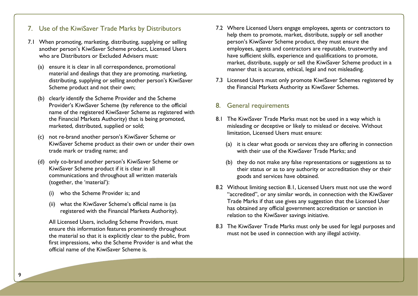# <span id="page-8-0"></span>7. Use of the KiwiSaver Trade Marks by Distributors

- 7.1 When promoting, marketing, distributing, supplying or selling another person's KiwiSaver Scheme product, Licensed Users who are Distributors or Excluded Advisers must:
	- (a) ensure it is clear in all correspondence, promotional material and dealings that they are promoting, marketing, distributing, supplying or selling another person's KiwiSaver Scheme product and not their own;
	- (b) clearly identify the Scheme Provider and the Scheme Provider's KiwiSaver Scheme (by reference to the official name of the registered KiwiSaver Scheme as registered with the Financial Markets Authority) that is being promoted, marketed, distributed, supplied or sold;
	- (c) not re-brand another person's KiwiSaver Scheme or KiwiSaver Scheme product as their own or under their own trade mark or trading name; and
	- (d) only co-brand another person's KiwiSaver Scheme or KiwiSaver Scheme product if it is clear in all communications and throughout all written materials (together, the 'material'):
		- who the Scheme Provider is; and
		- (ii) what the KiwiSaver Scheme's official name is (as registered with the Financial Markets Authority).

All Licensed Users, including Scheme Providers, must ensure this information features prominently throughout the material so that it is explicitly clear to the public, from first impressions, who the Scheme Provider is and what the official name of the KiwiSaver Scheme is.

- 7.2 Where Licensed Users engage employees, agents or contractors to help them to promote, market, distribute, supply or sell another person's KiwiSaver Scheme product, they must ensure the employees, agents and contractors are reputable, trustworthy and have sufficient skills, experience and qualifications to promote, market, distribute, supply or sell the KiwiSaver Scheme product in a manner that is accurate, ethical, legal and not misleading.
- 7.3 Licensed Users must only promote KiwiSaver Schemes registered by the Financial Markets Authority as KiwiSaver Schemes.

## <span id="page-8-1"></span>8. General requirements

- 8.1 The KiwiSaver Trade Marks must not be used in a way which is misleading or deceptive or likely to mislead or deceive. Without limitation, Licensed Users must ensure:
	- (a) it is clear what goods or services they are offering in connection with their use of the KiwiSaver Trade Marks; and
	- (b) they do not make any false representations or suggestions as to their status or as to any authority or accreditation they or their goods and services have obtained.
- 8.2 Without limiting section 8.1, Licensed Users must not use the word "accredited", or any similar words, in connection with the KiwiSaver Trade Marks if that use gives any suggestion that the Licensed User has obtained any official government accreditation or sanction in relation to the KiwiSaver savings initiative.
- 8.3 The KiwiSaver Trade Marks must only be used for legal purposes and must not be used in connection with any illegal activity.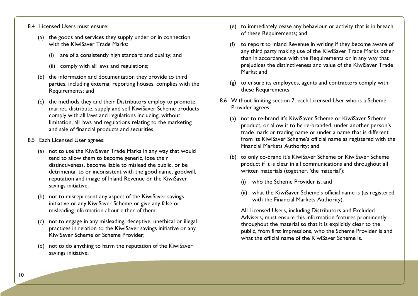- 8.4 Licensed Users must ensure:
	- (a) the goods and services they supply under or in connection with the KiwiSaver Trade Marks:
		- (i) are of a consistently high standard and quality; and
		- (ii) comply with all laws and regulations;
	- (b) the information and documentation they provide to third parties, including external reporting houses, complies with the Requirements; and
	- (c) the methods they and their Distributors employ to promote, market, distribute, supply and sell KiwiSaver Scheme products comply with all laws and regulations including, without limitation, all laws and regulations relating to the marketing and sale of financial products and securities.
- 8.5 Each Licensed User agrees:
	- (a) not to use the KiwiSaver Trade Marks in any way that would tend to allow them to become generic, lose their distinctiveness, become liable to mislead the public, or be detrimental to or inconsistent with the good name, goodwill, reputation and image of Inland Revenue or the KiwiSaver savings initiative;
	- (b) not to misrepresent any aspect of the KiwiSaver savings initiative or any KiwiSaver Scheme or give any false or misleading information about either of them;
	- (c) not to engage in any misleading, deceptive, unethical or illegal practices in relation to the KiwiSaver savings initiative or any KiwiSaver Scheme or Scheme Provider;
	- (d) not to do anything to harm the reputation of the KiwiSaver savings initiative;
- (e) to immediately cease any behaviour or activity that is in breach of these Requirements; and
- to report to Inland Revenue in writing if they become aware of any third party making use of the KiwiSaver Trade Marks other than in accordance with the Requirements or in any way that prejudices the distinctiveness and value of the KiwiSaver Trade Marks; and
- (g) to ensure its employees, agents and contractors comply with these Requirements.
- 8.6 Without limiting section 7, each Licensed User who is a Scheme Provider agrees:
	- (a) not to re-brand it's KiwiSaver Scheme or KiwiSaver Scheme product, or allow it to be re-branded, under another person's trade mark or trading name or under a name that is different from its KiwiSaver Scheme's official name as registered with the Financial Markets Authority; and
	- (b) to only co-brand it's KiwiSaver Scheme or KiwiSaver Scheme product if it is clear in all communications and throughout all written materials (together, 'the material'):
		- (i) who the Scheme Provider is; and
		- (ii) what the KiwiSaver Scheme's official name is (as registered with the Financial Markets Authority).

All Licensed Users, including Distributors and Excluded Advisers, must ensure this information features prominently throughout the material so that it is explicitly clear to the public, from first impressions, who the Scheme Provider is and what the official name of the KiwiSaver Scheme is.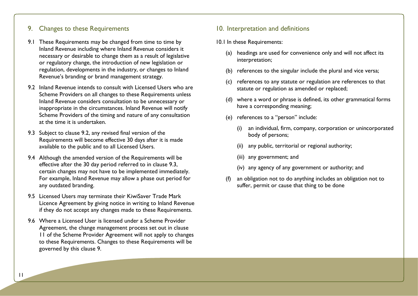# <span id="page-10-0"></span>9. Changes to these Requirements

- 9.1 These Requirements may be changed from time to time by Inland Revenue including where Inland Revenue considers it necessary or desirable to change them as a result of legislative or regulatory change, the introduction of new legislation or regulation, developments in the industry, or changes to Inland Revenue's branding or brand management strategy.
- 9.2 Inland Revenue intends to consult with Licensed Users who are Scheme Providers on all changes to these Requirements unless Inland Revenue considers consultation to be unnecessary or inappropriate in the circumstances. Inland Revenue will notify Scheme Providers of the timing and nature of any consultation at the time it is undertaken.
- 9.3 Subject to clause 9.2, any revised final version of the Requirements will become effective 30 days after it is made available to the public and to all Licensed Users.
- 9.4 Although the amended version of the Requirements will be effective after the 30 day period referred to in clause 9.3, certain changes may not have to be implemented immediately. For example, Inland Revenue may allow a phase out period for any outdated branding.
- 9.5 Licensed Users may terminate their KiwiSaver Trade Mark Licence Agreement by giving notice in writing to Inland Revenue if they do not accept any changes made to these Requirements.
- <span id="page-10-1"></span>9.6 Where a Licensed User is licensed under a Scheme Provider Agreement, the change management process set out in clause 11 of the Scheme Provider Agreement will not apply to changes to these Requirements. Changes to these Requirements will be governed by this clause 9.

# 10. Interpretation and definitions

#### 10.1 In these Requirements:

- (a) headings are used for convenience only and will not affect its interpretation;
- (b) references to the singular include the plural and vice versa;
- (c) references to any statute or regulation are references to that statute or regulation as amended or replaced;
- (d) where a word or phrase is defined, its other grammatical forms have a corresponding meaning;
- (e) references to a "person" include:
	- an individual, firm, company, corporation or unincorporated body of persons;
	- (ii) any public, territorial or regional authority;
	- (iii) any government; and
	- (iv) any agency of any government or authority; and
- (f) an obligation not to do anything includes an obligation not to suffer, permit or cause that thing to be done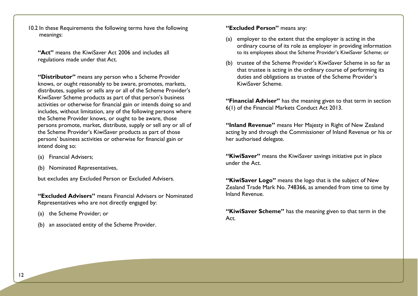10.2 In these Requirements the following terms have the following meanings:

**"Act"** means the KiwiSaver Act 2006 and includes all regulations made under that Act.

**"Distributor"** means any person who a Scheme Provider knows, or ought reasonably to be aware, promotes, markets, distributes, supplies or sells any or all of the Scheme Provider's KiwiSaver Scheme products as part of that person's business activities or otherwise for financial gain or intends doing so and includes, without limitation, any of the following persons where the Scheme Provider knows, or ought to be aware, those persons promote, market, distribute, supply or sell any or all of the Scheme Provider's KiwiSaver products as part of those persons' business activities or otherwise for financial gain or intend doing so:

- (a) Financial Advisers;
- (b) Nominated Representatives,

but excludes any Excluded Person or Excluded Advisers.

**"Excluded Advisers"** means Financial Advisers or Nominated Representatives who are not directly engaged by:

- (a) the Scheme Provider; or
- (b) an associated entity of the Scheme Provider.

**"Excluded Person"** means any:

- (a) employer to the extent that the employer is acting in the ordinary course of its role as employer in providing information to its employees about the Scheme Provider's KiwiSaver Scheme; or
- (b) trustee of the Scheme Provider's KiwiSaver Scheme in so far as that trustee is acting in the ordinary course of performing its duties and obligations as trustee of the Scheme Provider's KiwiSaver Scheme.

**"Financial Adviser"** has the meaning given to that term in section 6(1) of the Financial Markets Conduct Act 2013.

**"Inland Revenue"** means Her Majesty in Right of New Zealand acting by and through the Commissioner of Inland Revenue or his or her authorised delegate.

**"KiwiSaver"** means the KiwiSaver savings initiative put in place under the Act.

**"KiwiSaver Logo"** means the logo that is the subject of New Zealand Trade Mark No. 748366, as amended from time to time by Inland Revenue.

**"KiwiSaver Scheme"** has the meaning given to that term in the Act.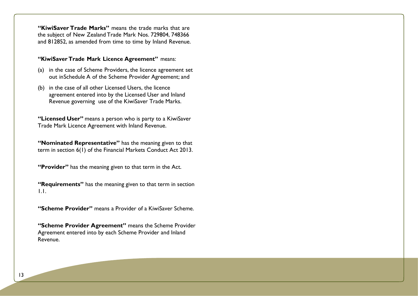**"KiwiSaver Trade Marks"** means the trade marks that are the subject of New Zealand Trade Mark Nos. 729804, 748366 and 812852, as amended from time to time by Inland Revenue.

#### **"KiwiSaver Trade Mark Licence Agreement"** means:

- (a) in the case of Scheme Providers, the licence agreement set out inSchedule A of the Scheme Provider Agreement; and
- (b) in the case of all other Licensed Users, the licence agreement entered into by the Licensed User and Inland Revenue governing use of the KiwiSaver Trade Marks.

**"Licensed User"** means a person who is party to a KiwiSaver Trade Mark Licence Agreement with Inland Revenue.

**"Nominated Representative"** has the meaning given to that term in section 6(1) of the Financial Markets Conduct Act 2013.

**"Provider"** has the meaning given to that term in the Act.

**"Requirements"** has the meaning given to that term in section 1.1.

**"Scheme Provider"** means a Provider of a KiwiSaver Scheme.

**"Scheme Provider Agreement"** means the Scheme Provider Agreement entered into by each Scheme Provider and Inland Revenue.